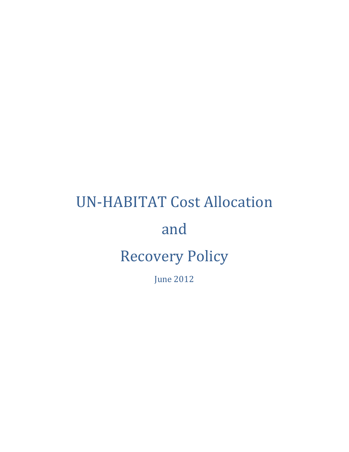# UN-HABITAT Cost Allocation and Recovery Policy

June 2012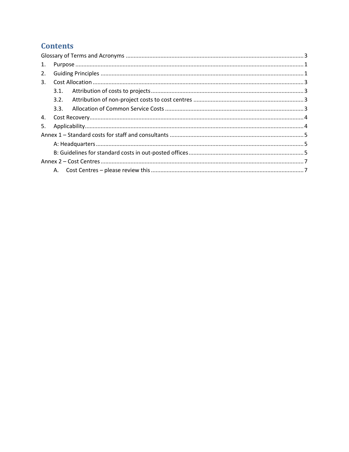# **Contents**

| 1. |      |  |  |  |  |  |  |
|----|------|--|--|--|--|--|--|
| 2. |      |  |  |  |  |  |  |
| 3. |      |  |  |  |  |  |  |
|    | 3.1. |  |  |  |  |  |  |
|    | 3.2. |  |  |  |  |  |  |
|    | 3.3. |  |  |  |  |  |  |
| 4. |      |  |  |  |  |  |  |
| 5. |      |  |  |  |  |  |  |
|    |      |  |  |  |  |  |  |
|    |      |  |  |  |  |  |  |
|    |      |  |  |  |  |  |  |
|    |      |  |  |  |  |  |  |
|    | А.   |  |  |  |  |  |  |
|    |      |  |  |  |  |  |  |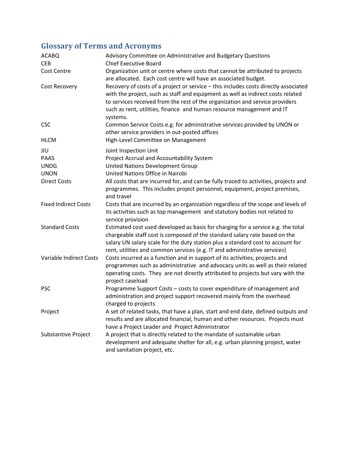# <span id="page-2-0"></span>**Glossary of Terms and Acronyms**

| <b>ACABQ</b><br><b>CEB</b>  | Advisory Committee on Administrative and Budgetary Questions<br><b>Chief Executive Board</b>                                                                                                                                                                                                                                                |
|-----------------------------|---------------------------------------------------------------------------------------------------------------------------------------------------------------------------------------------------------------------------------------------------------------------------------------------------------------------------------------------|
| Cost Centre                 | Organization unit or centre where costs that cannot be attributed to projects<br>are allocated. Each cost centre will have an associated budget.                                                                                                                                                                                            |
| Cost Recovery               | Recovery of costs of a project or service - this includes costs directly associated<br>with the project, such as staff and equipment as well as indirect costs related<br>to services received from the rest of the organization and service providers<br>such as rent, utilities, finance and human resource management and IT<br>systems. |
| <b>CSC</b>                  | Common Service Costs e.g. for administrative services provided by UNON or<br>other service providers in out-posted offices                                                                                                                                                                                                                  |
| <b>HLCM</b>                 | High-Level Committee on Management                                                                                                                                                                                                                                                                                                          |
| JIU                         | Joint Inspection Unit                                                                                                                                                                                                                                                                                                                       |
| <b>PAAS</b>                 | Project Accrual and Accountability System                                                                                                                                                                                                                                                                                                   |
| <b>UNDG</b>                 | United Nations Development Group                                                                                                                                                                                                                                                                                                            |
| <b>UNON</b>                 | United Nations Office in Nairobi                                                                                                                                                                                                                                                                                                            |
| <b>Direct Costs</b>         | All costs that are incurred for, and can be fully traced to activities, projects and<br>programmes. This includes project personnel, equipment, project premises,<br>and travel                                                                                                                                                             |
| <b>Fixed Indirect Costs</b> | Costs that are incurred by an organization regardless of the scope and levels of<br>its activities such as top management and statutory bodies not related to<br>service provision                                                                                                                                                          |
| <b>Standard Costs</b>       | Estimated cost used developed as basis for charging for a service e.g. the total<br>chargeable staff cost is composed of the standard salary rate based on the<br>salary UN salary scale for the duty station plus a standard cost to account for<br>rent, utilities and common services (e.g. IT and administrative services)              |
| Variable Indirect Costs     | Costs incurred as a function and in support of its activities, projects and<br>programmes such as administrative and advocacy units as well as their related<br>operating costs. They are not directly attributed to projects but vary with the<br>project caseload                                                                         |
| <b>PSC</b>                  | Programme Support Costs - costs to cover expenditure of management and<br>administration and project support recovered mainly from the overhead<br>charged to projects                                                                                                                                                                      |
| Project                     | A set of related tasks, that have a plan, start and end date, defined outputs and<br>results and are allocated financial, human and other resources. Projects must<br>have a Project Leader and Project Administrator                                                                                                                       |
| Substantive Project         | A project that is directly related to the mandate of sustainable urban<br>development and adequate shelter for all, e.g. urban planning project, water<br>and sanitation project, etc.                                                                                                                                                      |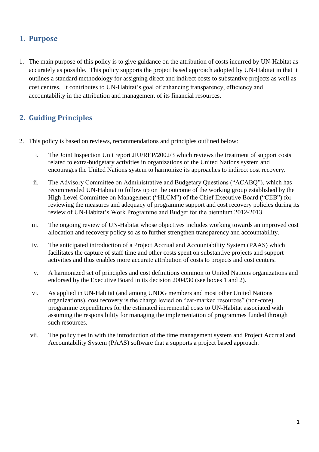## <span id="page-3-0"></span>**1. Purpose**

<span id="page-3-1"></span>1. The main purpose of this policy is to give guidance on the attribution of costs incurred by UN-Habitat as accurately as possible. This policy supports the project based approach adopted by UN-Habitat in that it outlines a standard methodology for assigning direct and indirect costs to substantive projects as well as cost centres. It contributes to UN-Habitat's goal of enhancing transparency, efficiency and accountability in the attribution and management of its financial resources.

# **2. Guiding Principles**

- 2. This policy is based on reviews, recommendations and principles outlined below:
	- i. The Joint Inspection Unit report JIU/REP/2002/3 which reviews the treatment of support costs related to extra-budgetary activities in organizations of the United Nations system and encourages the United Nations system to harmonize its approaches to indirect cost recovery.
	- ii. The Advisory Committee on Administrative and Budgetary Questions ("ACABQ"), which has recommended UN-Habitat to follow up on the outcome of the working group established by the High-Level Committee on Management ("HLCM") of the Chief Executive Board ("CEB") for reviewing the measures and adequacy of programme support and cost recovery policies during its review of UN-Habitat's Work Programme and Budget for the biennium 2012-2013.
	- iii. The ongoing review of UN-Habitat whose objectives includes working towards an improved cost allocation and recovery policy so as to further strengthen transparency and accountability.
	- iv. The anticipated introduction of a Project Accrual and Accountability System (PAAS) which facilitates the capture of staff time and other costs spent on substantive projects and support activities and thus enables more accurate attribution of costs to projects and cost centers.
	- v. A harmonized set of principles and cost definitions common to United Nations organizations and endorsed by the Executive Board in its decision 2004/30 (see boxes 1 and 2).
	- vi. As applied in UN-Habitat (and among UNDG members and most other United Nations organizations), cost recovery is the charge levied on "ear-marked resources" (non-core) programme expenditures for the estimated incremental costs to UN-Habitat associated with assuming the responsibility for managing the implementation of programmes funded through such resources.
	- vii. The policy ties in with the introduction of the time management system and Project Accrual and Accountability System (PAAS) software that a supports a project based approach.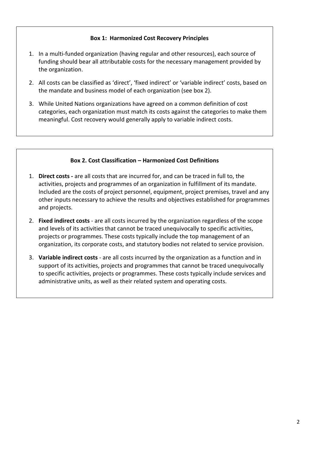## **Box 1: Harmonized Cost Recovery Principles**

- 1. In a multi-funded organization (having regular and other resources), each source of funding should bear all attributable costs for the necessary management provided by the organization.
- 2. All costs can be classified as 'direct', 'fixed indirect' or 'variable indirect' costs, based on the mandate and business model of each organization (see box 2).
- 3. While United Nations organizations have agreed on a common definition of cost categories, each organization must match its costs against the categories to make them meaningful. Cost recovery would generally apply to variable indirect costs.

#### **Box 2. Cost Classification – Harmonized Cost Definitions**

- 1. **Direct costs -** are all costs that are incurred for, and can be traced in full to, the activities, projects and programmes of an organization in fulfillment of its mandate. Included are the costs of project personnel, equipment, project premises, travel and any other inputs necessary to achieve the results and objectives established for programmes and projects.
- 2. **Fixed indirect costs** are all costs incurred by the organization regardless of the scope and levels of its activities that cannot be traced unequivocally to specific activities, projects or programmes. These costs typically include the top management of an organization, its corporate costs, and statutory bodies not related to service provision.
- 3. **Variable indirect costs** are all costs incurred by the organization as a function and in support of its activities, projects and programmes that cannot be traced unequivocally to specific activities, projects or programmes. These costs typically include services and administrative units, as well as their related system and operating costs.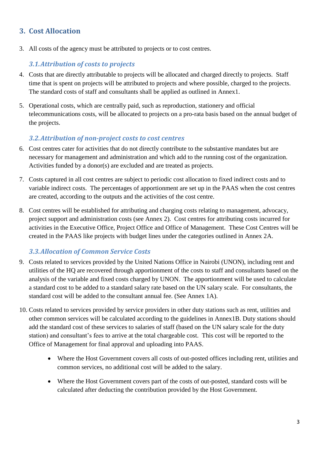# <span id="page-5-1"></span><span id="page-5-0"></span>**3. Cost Allocation**

3. All costs of the agency must be attributed to projects or to cost centres.

## *3.1.Attribution of costs to projects*

- 4. Costs that are directly attributable to projects will be allocated and charged directly to projects. Staff time that is spent on projects will be attributed to projects and where possible, charged to the projects. The standard costs of staff and consultants shall be applied as outlined in Annex1.
- <span id="page-5-2"></span>5. Operational costs, which are centrally paid, such as reproduction, stationery and official telecommunications costs, will be allocated to projects on a pro-rata basis based on the annual budget of the projects.

## *3.2.Attribution of non-project costs to cost centres*

- 6. Cost centres cater for activities that do not directly contribute to the substantive mandates but are necessary for management and administration and which add to the running cost of the organization. Activities funded by a donor(s) are excluded and are treated as projects.
- 7. Costs captured in all cost centres are subject to periodic cost allocation to fixed indirect costs and to variable indirect costs. The percentages of apportionment are set up in the PAAS when the cost centres are created, according to the outputs and the activities of the cost centre.
- <span id="page-5-3"></span>8. Cost centres will be established for attributing and charging costs relating to management, advocacy, project support and administration costs (see Annex 2). Cost centres for attributing costs incurred for activities in the Executive Office, Project Office and Office of Management. These Cost Centres will be created in the PAAS like projects with budget lines under the categories outlined in Annex 2A.

## *3.3.Allocation of Common Service Costs*

- 9. Costs related to services provided by the United Nations Office in Nairobi (UNON), including rent and utilities of the HQ are recovered through apportionment of the costs to staff and consultants based on the analysis of the variable and fixed costs charged by UNON. The apportionment will be used to calculate a standard cost to be added to a standard salary rate based on the UN salary scale. For consultants, the standard cost will be added to the consultant annual fee. (See Annex 1A).
- 10. Costs related to services provided by service providers in other duty stations such as rent, utilities and other common services will be calculated according to the guidelines in Annex1B. Duty stations should add the standard cost of these services to salaries of staff (based on the UN salary scale for the duty station) and consultant's fees to arrive at the total chargeable cost. This cost will be reported to the Office of Management for final approval and uploading into PAAS.
	- Where the Host Government covers all costs of out-posted offices including rent, utilities and common services, no additional cost will be added to the salary.
	- Where the Host Government covers part of the costs of out-posted, standard costs will be calculated after deducting the contribution provided by the Host Government.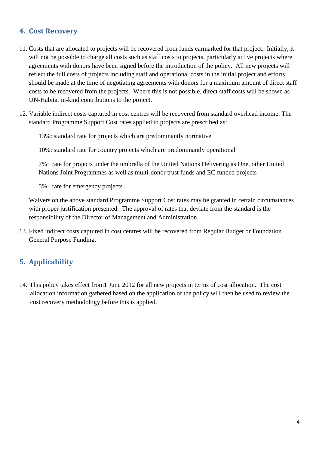# <span id="page-6-0"></span>**4. Cost Recovery**

- 11. Costs that are allocated to projects will be recovered from funds earmarked for that project. Initially, it will not be possible to charge all costs such as staff costs to projects, particularly active projects where agreements with donors have been signed before the introduction of the policy. All new projects will reflect the full costs of projects including staff and operational costs in the initial project and efforts should be made at the time of negotiating agreements with donors for a maximum amount of direct staff costs to be recovered from the projects. Where this is not possible, direct staff costs will be shown as UN-Habitat in-kind contributions to the project.
- 12. Variable indirect costs captured in cost centres will be recovered from standard overhead income. The standard Programme Support Cost rates applied to projects are prescribed as:

13%: standard rate for projects which are predominantly normative

10%: standard rate for country projects which are predominantly operational

7%: rate for projects under the umbrella of the United Nations Delivering as One, other United Nations Joint Programmes as well as multi-donor trust funds and EC funded projects

5%: rate for emergency projects

Waivers on the above standard Programme Support Cost rates may be granted in certain circumstances with proper justification presented. The approval of rates that deviate from the standard is the responsibility of the Director of Management and Administration.

<span id="page-6-1"></span>13. Fixed indirect costs captured in cost centres will be recovered from Regular Budget or Foundation General Purpose Funding.

# **5. Applicability**

14. This policy takes effect from1 June 2012 for all new projects in terms of cost allocation. The cost allocation information gathered based on the application of the policy will then be used to review the cost recovery methodology before this is applied.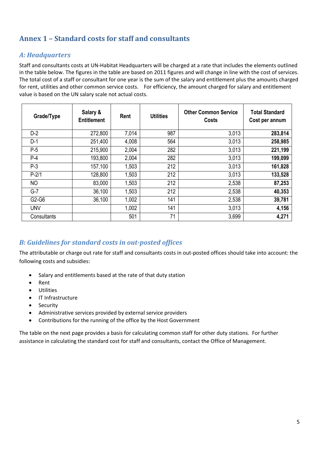# <span id="page-7-1"></span><span id="page-7-0"></span>**Annex 1 – Standard costs for staff and consultants**

## *A: Headquarters*

Staff and consultants costs at UN-Habitat Headquarters will be charged at a rate that includes the elements outlined in the table below. The figures in the table are based on 2011 figures and will change in line with the cost of services. The total cost of a staff or consultant for one year is the sum of the salary and entitlement plus the amounts charged for rent, utilities and other common service costs. For efficiency, the amount charged for salary and entitlement value is based on the UN salary scale not actual costs.

| Grade/Type     | Salary &<br><b>Entitlement</b> | Rent  | <b>Utilities</b> | <b>Other Common Service</b><br>Costs | <b>Total Standard</b><br>Cost per annum |
|----------------|--------------------------------|-------|------------------|--------------------------------------|-----------------------------------------|
| $D-2$          | 272,800                        | 7,014 | 987              | 3,013                                | 283,814                                 |
| $D-1$          | 251,400                        | 4,008 | 564              | 3,013                                | 258,985                                 |
| $P-5$          | 215,900                        | 2,004 | 282              | 3,013                                | 221,199                                 |
| $P-4$          | 193,800                        | 2,004 | 282              | 3,013                                | 199,099                                 |
| $P-3$          | 157,100                        | 1,503 | 212              | 3,013                                | 161,828                                 |
| $P-2/1$        | 128,800                        | 1,503 | 212              | 3,013                                | 133,528                                 |
| N <sub>O</sub> | 83,000                         | 1,503 | 212              | 2,538                                | 87,253                                  |
| $G-7$          | 36,100                         | 1,503 | 212              | 2,538                                | 40,353                                  |
| G2-G6          | 36,100                         | 1,002 | 141              | 2,538                                | 39,781                                  |
| <b>UNV</b>     |                                | 1,002 | 141              | 3,013                                | 4,156                                   |
| Consultants    |                                | 501   | 71               | 3,699                                | 4,271                                   |

## <span id="page-7-2"></span>*B: Guidelines for standard costs in out-posted offices*

The attributable or charge out rate for staff and consultants costs in out-posted offices should take into account: the following costs and subsidies:

- Salary and entitlements based at the rate of that duty station
- Rent
- **•** Utilities
- IT Infrastructure
- Security
- Administrative services provided by external service providers
- Contributions for the running of the office by the Host Government

The table on the next page provides a basis for calculating common staff for other duty stations. For further assistance in calculating the standard cost for staff and consultants, contact the Office of Management.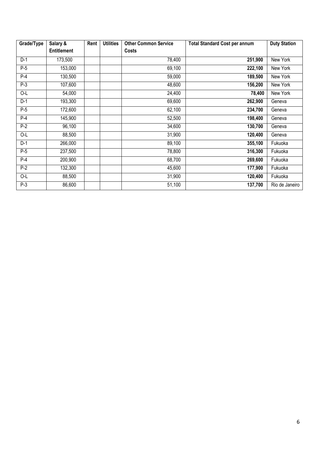| Grade/Type | Salary &<br>Rent   |  | <b>Utilities</b> | <b>Other Common Service</b> | <b>Total Standard Cost per annum</b> | <b>Duty Station</b> |
|------------|--------------------|--|------------------|-----------------------------|--------------------------------------|---------------------|
|            | <b>Entitlement</b> |  |                  | Costs                       |                                      |                     |
| $D-1$      | 173,500            |  |                  | 78,400                      | 251,900                              | New York            |
| $P-5$      | 153,000            |  |                  | 69,100                      | 222,100                              | New York            |
| $P-4$      | 130,500            |  |                  | 59,000                      | 189,500                              | New York            |
| $P-3$      | 107,600            |  |                  | 48,600                      | 156,200                              | New York            |
| O-L        | 54,000             |  |                  | 24,400                      | 78,400                               | New York            |
| $D-1$      | 193,300            |  |                  | 69,600                      | 262,900                              | Geneva              |
| $P-5$      | 172,600            |  |                  | 62,100                      | 234,700                              | Geneva              |
| $P-4$      | 145,900            |  |                  | 52,500                      | 198,400                              | Geneva              |
| $P-2$      | 96,100             |  |                  | 34,600                      | 130,700                              | Geneva              |
| O-L        | 88,500             |  |                  | 31,900                      | 120,400                              | Geneva              |
| $D-1$      | 266,000            |  |                  | 89,100                      | 355,100                              | Fukuoka             |
| $P-5$      | 237,500            |  |                  | 78,800                      | 316,300                              | Fukuoka             |
| $P-4$      | 200,900            |  |                  | 68,700                      | 269,600                              | Fukuoka             |
| $P-2$      | 132,300            |  |                  | 45,600                      | 177,900                              | Fukuoka             |
| O-L        | 88,500             |  |                  | 31,900                      | 120,400                              | Fukuoka             |
| $P-3$      | 86,600             |  |                  | 51,100                      | 137,700                              | Rio de Janeiro      |